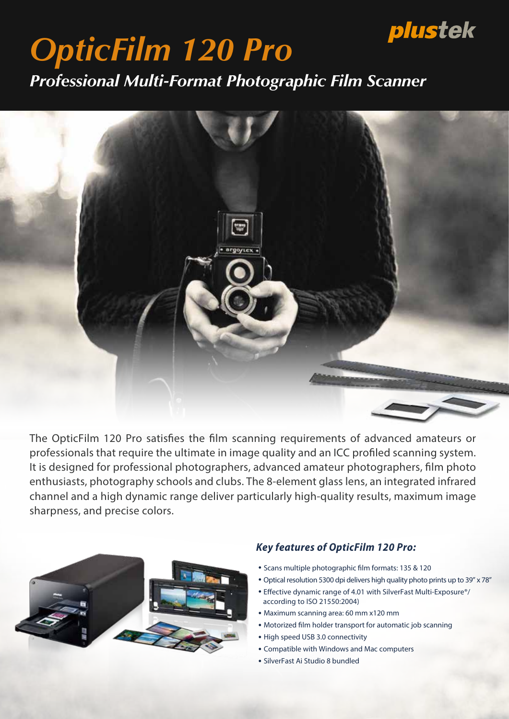# plustek

# *OpticFilm 120 Pro*

*Professional Multi-Format Photographic Film Scanner*



The OpticFilm 120 Pro satisfies the film scanning requirements of advanced amateurs or professionals that require the ultimate in image quality and an ICC profiled scanning system. It is designed for professional photographers, advanced amateur photographers, film photo enthusiasts, photography schools and clubs. The 8-element glass lens, an integrated infrared channel and a high dynamic range deliver particularly high-quality results, maximum image sharpness, and precise colors.



### Key features of OpticFilm 120 Pro.

- Scans multiple photographic film formats: 135 & 120
- ・Optical resolution 5300 dpi delivers high quality photo prints up to 39" x 78"
- Effective dynamic range of 4.01 with SilverFast Multi-Exposure<sup>®</sup>/ according to ISO 21550:2004)
- ・Maximum scanning area: 60 mm x120 mm
- Motorized film holder transport for automatic job scanning
- ・High speed USB 3.0 connectivity
- ・Compatible with Windows and Mac computers
- ・SilverFast Ai Studio 8 bundled